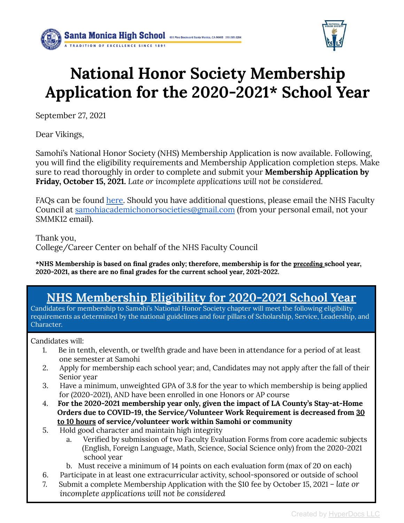



# **National Honor Society Membership Application for the 2020-2021\* School Year**

September 27, 2021

Dear Vikings,

Samohi's National Honor Society (NHS) Membership Application is now available. Following, you will find the eligibility requirements and Membership Application completion steps. Make sure to read thoroughly in order to complete and submit your **Membership Application by Friday, October 15, 2021.** *Late or incomplete applications will not be considered.*

FAQs can be found [here.](https://www.smmusd.org/cms/lib/CA50000164/Centricity/Domain/3012/NHS-CSF-Eligibility-Reqs.pdf) Should you have additional questions, please email the NHS Faculty Council at [samohiacademichonorsocieties@gmail.com](mailto:samohiacademichonorsocieties@gmail.com) (from your personal email, not your SMMK12 email).

Thank you, College/Career Center on behalf of the NHS Faculty Council

**\*NHS Membership is based on final grades only; therefore, membership is for the** *preceding* **school year, 2020-2021, as there are no final grades for the current school year, 2021-2022.**

# **NHS Membership Eligibility for 2020-2021 School Year**

Candidates for membership to Samohi's National Honor Society chapter will meet the following eligibility requirements as determined by the national guidelines and four pillars of Scholarship, Service, Leadership, and Character.

Candidates will:

- 1. Be in tenth, eleventh, or twelfth grade and have been in attendance for a period of at least one semester at Samohi
- 2. Apply for membership each school year; and, Candidates may not apply after the fall of their Senior year
- 3. Have a minimum, unweighted GPA of 3.8 for the year to which membership is being applied for (2020-2021), AND have been enrolled in one Honors or AP course
- 4. **For the 2020-2021 membership year only, given the impact of LA County's Stay-at-Home Orders due to COVID-19, the Service/Volunteer Work Requirement is decreased from 30 to 10 hours of service/volunteer work within Samohi or community**
- 5. Hold good character and maintain high integrity
	- a. Verified by submission of two Faculty Evaluation Forms from core academic subjects (English, Foreign Language, Math, Science, Social Science only) from the 2020-2021 school year
	- b. Must receive a minimum of 14 points on each evaluation form (max of 20 on each)
- 6. Participate in at least one extracurricular activity, school-sponsored or outside of school
- 7. Submit a complete Membership Application with the \$10 fee by October 15, 2021 *late or incomplete applications will not be considered*